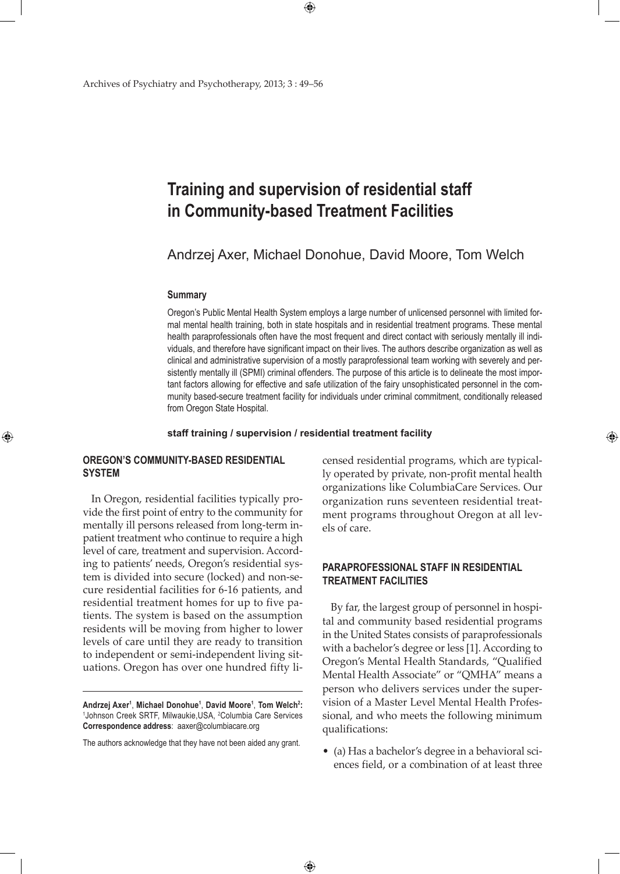# **Training and supervision of residential staff in Community-based Treatment Facilities**

 $\bigoplus$ 

Andrzej Axer, Michael Donohue, David Moore, Tom Welch

### **Summary**

Oregon's Public Mental Health System employs a large number of unlicensed personnel with limited formal mental health training, both in state hospitals and in residential treatment programs. These mental health paraprofessionals often have the most frequent and direct contact with seriously mentally ill individuals, and therefore have significant impact on their lives. The authors describe organization as well as clinical and administrative supervision of a mostly paraprofessional team working with severely and persistently mentally ill (SPMI) criminal offenders. The purpose of this article is to delineate the most important factors allowing for effective and safe utilization of the fairy unsophisticated personnel in the community based-secure treatment facility for individuals under criminal commitment, conditionally released from Oregon State Hospital.

## **staff training / supervision / residential treatment facility**

 $\bigoplus$ 

# **Oregon's Community-based Residential System**

⊕

In Oregon, residential facilities typically provide the first point of entry to the community for mentally ill persons released from long-term inpatient treatment who continue to require a high level of care, treatment and supervision. According to patients' needs, Oregon's residential system is divided into secure (locked) and non-secure residential facilities for 6-16 patients, and residential treatment homes for up to five patients. The system is based on the assumption residents will be moving from higher to lower levels of care until they are ready to transition to independent or semi-independent living situations. Oregon has over one hundred fifty li-

**Andrzej Axer1** , **Michael Donohue1** , **David Moore1** , **Tom Welch<sup>2</sup> :** 1 Johnson Creek SRTF, Milwaukie,USA, <sup>2</sup> Columbia Care Services **Correspondence address**: aaxer@columbiacare.org

The authors acknowledge that they have not been aided any grant.

censed residential programs, which are typically operated by private, non-profit mental health organizations like ColumbiaCare Services. Our organization runs seventeen residential treatment programs throughout Oregon at all levels of care.

⊕

# **Paraprofessional Staff in Residential Treatment Facilities**

By far, the largest group of personnel in hospital and community based residential programs in the United States consists of paraprofessionals with a bachelor's degree or less [1]. According to Oregon's Mental Health Standards, "Qualified Mental Health Associate" or "QMHA" means a person who delivers services under the supervision of a Master Level Mental Health Professional, and who meets the following minimum qualifications:

• (a) Has a bachelor's degree in a behavioral sciences field, or a combination of at least three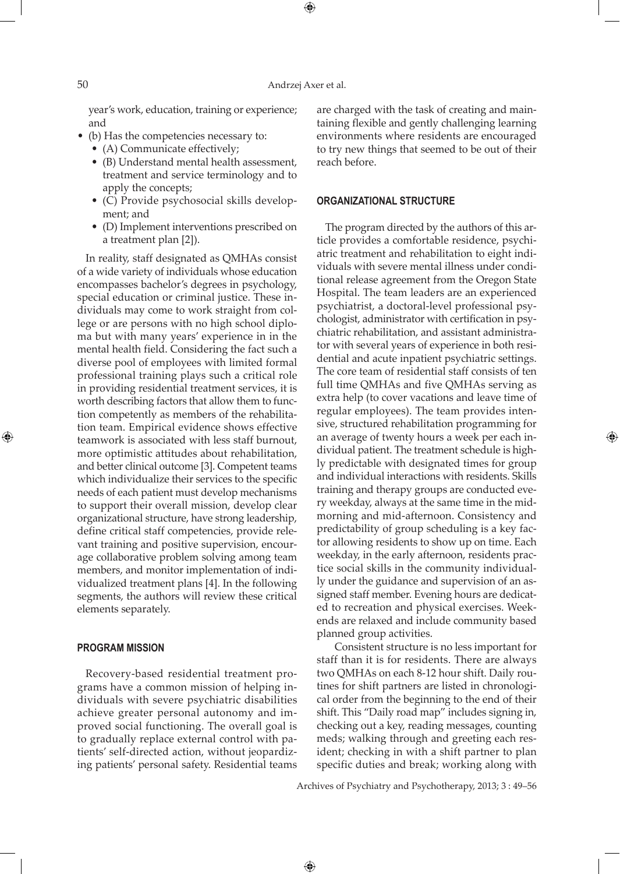year's work, education, training or experience; and

- (b) Has the competencies necessary to:
	- (A) Communicate effectively;
	- (B) Understand mental health assessment, treatment and service terminology and to apply the concepts;
	- (C) Provide psychosocial skills development; and
	- (D) Implement interventions prescribed on a treatment plan [2]).

In reality, staff designated as QMHAs consist of a wide variety of individuals whose education encompasses bachelor's degrees in psychology, special education or criminal justice. These individuals may come to work straight from college or are persons with no high school diploma but with many years' experience in in the mental health field. Considering the fact such a diverse pool of employees with limited formal professional training plays such a critical role in providing residential treatment services, it is worth describing factors that allow them to function competently as members of the rehabilitation team. Empirical evidence shows effective teamwork is associated with less staff burnout, more optimistic attitudes about rehabilitation, and better clinical outcome [3]. Competent teams which individualize their services to the specific needs of each patient must develop mechanisms to support their overall mission, develop clear organizational structure, have strong leadership, define critical staff competencies, provide relevant training and positive supervision, encourage collaborative problem solving among team members, and monitor implementation of individualized treatment plans [4]. In the following segments, the authors will review these critical elements separately.

## **Program Mission**

Recovery-based residential treatment programs have a common mission of helping individuals with severe psychiatric disabilities achieve greater personal autonomy and improved social functioning. The overall goal is to gradually replace external control with patients' self-directed action, without jeopardizing patients' personal safety. Residential teams

are charged with the task of creating and maintaining flexible and gently challenging learning environments where residents are encouraged to try new things that seemed to be out of their reach before.

### **Organizational Structure**

The program directed by the authors of this article provides a comfortable residence, psychiatric treatment and rehabilitation to eight individuals with severe mental illness under conditional release agreement from the Oregon State Hospital. The team leaders are an experienced psychiatrist, a doctoral-level professional psychologist, administrator with certification in psychiatric rehabilitation, and assistant administrator with several years of experience in both residential and acute inpatient psychiatric settings. The core team of residential staff consists of ten full time QMHAs and five QMHAs serving as extra help (to cover vacations and leave time of regular employees). The team provides intensive, structured rehabilitation programming for an average of twenty hours a week per each individual patient. The treatment schedule is highly predictable with designated times for group and individual interactions with residents. Skills training and therapy groups are conducted every weekday, always at the same time in the midmorning and mid-afternoon. Consistency and predictability of group scheduling is a key factor allowing residents to show up on time. Each weekday, in the early afternoon, residents practice social skills in the community individually under the guidance and supervision of an assigned staff member. Evening hours are dedicated to recreation and physical exercises. Weekends are relaxed and include community based planned group activities.

⊕

Consistent structure is no less important for staff than it is for residents. There are always two QMHAs on each 8-12 hour shift. Daily routines for shift partners are listed in chronological order from the beginning to the end of their shift. This "Daily road map" includes signing in, checking out a key, reading messages, counting meds; walking through and greeting each resident; checking in with a shift partner to plan specific duties and break; working along with

Archives of Psychiatry and Psychotherapy, 2013; 3 : 49–56

 $\bigoplus$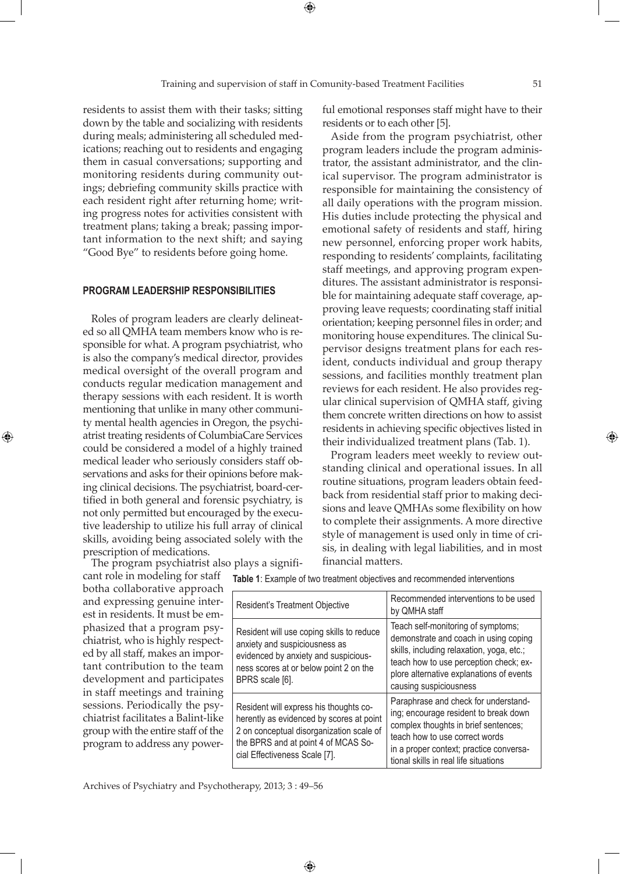residents to assist them with their tasks; sitting down by the table and socializing with residents during meals; administering all scheduled medications; reaching out to residents and engaging them in casual conversations; supporting and monitoring residents during community outings; debriefing community skills practice with each resident right after returning home; writing progress notes for activities consistent with treatment plans; taking a break; passing important information to the next shift; and saying "Good Bye" to residents before going home.

#### **Program Leadership Responsibilities**

Roles of program leaders are clearly delineated so all QMHA team members know who is responsible for what. A program psychiatrist, who is also the company's medical director, provides medical oversight of the overall program and conducts regular medication management and therapy sessions with each resident. It is worth mentioning that unlike in many other community mental health agencies in Oregon, the psychiatrist treating residents of ColumbiaCare Services could be considered a model of a highly trained medical leader who seriously considers staff observations and asks for their opinions before making clinical decisions. The psychiatrist, board-certified in both general and forensic psychiatry, is not only permitted but encouraged by the executive leadership to utilize his full array of clinical skills, avoiding being associated solely with the prescription of medications.

⊕

The program psychiatrist also plays a significant role in modeling for staff botha collaborative approach and expressing genuine interest in residents. It must be emphasized that a program psychiatrist, who is highly respected by all staff, makes an important contribution to the team development and participates in staff meetings and training sessions. Periodically the psychiatrist facilitates a Balint-like group with the entire staff of the program to address any powerful emotional responses staff might have to their residents or to each other [5].

Aside from the program psychiatrist, other program leaders include the program administrator, the assistant administrator, and the clinical supervisor. The program administrator is responsible for maintaining the consistency of all daily operations with the program mission. His duties include protecting the physical and emotional safety of residents and staff, hiring new personnel, enforcing proper work habits, responding to residents' complaints, facilitating staff meetings, and approving program expenditures. The assistant administrator is responsible for maintaining adequate staff coverage, approving leave requests; coordinating staff initial orientation; keeping personnel files in order; and monitoring house expenditures. The clinical Supervisor designs treatment plans for each resident, conducts individual and group therapy sessions, and facilities monthly treatment plan reviews for each resident. He also provides regular clinical supervision of QMHA staff, giving them concrete written directions on how to assist residents in achieving specific objectives listed in their individualized treatment plans (Tab. 1).

Program leaders meet weekly to review outstanding clinical and operational issues. In all routine situations, program leaders obtain feedback from residential staff prior to making decisions and leave QMHAs some flexibility on how to complete their assignments. A more directive style of management is used only in time of crisis, in dealing with legal liabilities, and in most financial matters.

| Resident's Treatment Objective                                                                                                                                                                         | Recommended interventions to be used<br>by QMHA staff                                                                                                                                                                                       |
|--------------------------------------------------------------------------------------------------------------------------------------------------------------------------------------------------------|---------------------------------------------------------------------------------------------------------------------------------------------------------------------------------------------------------------------------------------------|
| Resident will use coping skills to reduce<br>anxiety and suspiciousness as<br>evidenced by anxiety and suspicious-<br>ness scores at or below point 2 on the<br>BPRS scale [6].                        | Teach self-monitoring of symptoms;<br>demonstrate and coach in using coping<br>skills, including relaxation, yoga, etc.;<br>teach how to use perception check; ex-<br>plore alternative explanations of events<br>causing suspiciousness    |
| Resident will express his thoughts co-<br>herently as evidenced by scores at point<br>2 on conceptual disorganization scale of<br>the BPRS and at point 4 of MCAS So-<br>cial Effectiveness Scale [7]. | Paraphrase and check for understand-<br>ing; encourage resident to break down<br>complex thoughts in brief sentences;<br>teach how to use correct words<br>in a proper context; practice conversa-<br>tional skills in real life situations |

 $\bigoplus$ 

**Table 1**: Example of two treatment objectives and recommended interventions

Archives of Psychiatry and Psychotherapy, 2013; 3 : 49–56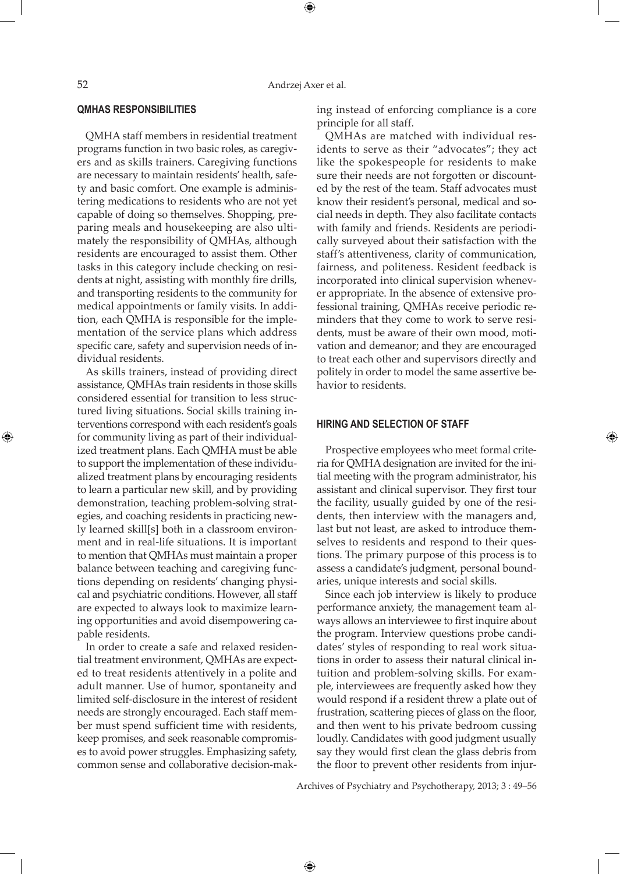## **QMHAs Responsibilities**

QMHA staff members in residential treatment programs function in two basic roles, as caregivers and as skills trainers. Caregiving functions are necessary to maintain residents' health, safety and basic comfort. One example is administering medications to residents who are not yet capable of doing so themselves. Shopping, preparing meals and housekeeping are also ultimately the responsibility of QMHAs, although residents are encouraged to assist them. Other tasks in this category include checking on residents at night, assisting with monthly fire drills, and transporting residents to the community for medical appointments or family visits. In addition, each QMHA is responsible for the implementation of the service plans which address specific care, safety and supervision needs of individual residents.

As skills trainers, instead of providing direct assistance, QMHAs train residents in those skills considered essential for transition to less structured living situations. Social skills training interventions correspond with each resident's goals for community living as part of their individualized treatment plans. Each QMHA must be able to support the implementation of these individualized treatment plans by encouraging residents to learn a particular new skill, and by providing demonstration, teaching problem-solving strategies, and coaching residents in practicing newly learned skill[s] both in a classroom environment and in real-life situations. It is important to mention that QMHAs must maintain a proper balance between teaching and caregiving functions depending on residents' changing physical and psychiatric conditions. However, all staff are expected to always look to maximize learning opportunities and avoid disempowering capable residents.

In order to create a safe and relaxed residential treatment environment, QMHAs are expected to treat residents attentively in a polite and adult manner. Use of humor, spontaneity and limited self-disclosure in the interest of resident needs are strongly encouraged. Each staff member must spend sufficient time with residents, keep promises, and seek reasonable compromises to avoid power struggles. Emphasizing safety, common sense and collaborative decision-making instead of enforcing compliance is a core principle for all staff.

QMHAs are matched with individual residents to serve as their "advocates"; they act like the spokespeople for residents to make sure their needs are not forgotten or discounted by the rest of the team. Staff advocates must know their resident's personal, medical and social needs in depth. They also facilitate contacts with family and friends. Residents are periodically surveyed about their satisfaction with the staff's attentiveness, clarity of communication, fairness, and politeness. Resident feedback is incorporated into clinical supervision whenever appropriate. In the absence of extensive professional training, QMHAs receive periodic reminders that they come to work to serve residents, must be aware of their own mood, motivation and demeanor; and they are encouraged to treat each other and supervisors directly and politely in order to model the same assertive behavior to residents.

# **Hiring and selection of staff**

Prospective employees who meet formal criteria for QMHA designation are invited for the initial meeting with the program administrator, his assistant and clinical supervisor. They first tour the facility, usually guided by one of the residents, then interview with the managers and, last but not least, are asked to introduce themselves to residents and respond to their questions. The primary purpose of this process is to assess a candidate's judgment, personal boundaries, unique interests and social skills.

Since each job interview is likely to produce performance anxiety, the management team always allows an interviewee to first inquire about the program. Interview questions probe candidates' styles of responding to real work situations in order to assess their natural clinical intuition and problem-solving skills. For example, interviewees are frequently asked how they would respond if a resident threw a plate out of frustration, scattering pieces of glass on the floor, and then went to his private bedroom cussing loudly. Candidates with good judgment usually say they would first clean the glass debris from the floor to prevent other residents from injur-

Archives of Psychiatry and Psychotherapy, 2013; 3 : 49–56

 $\bigoplus$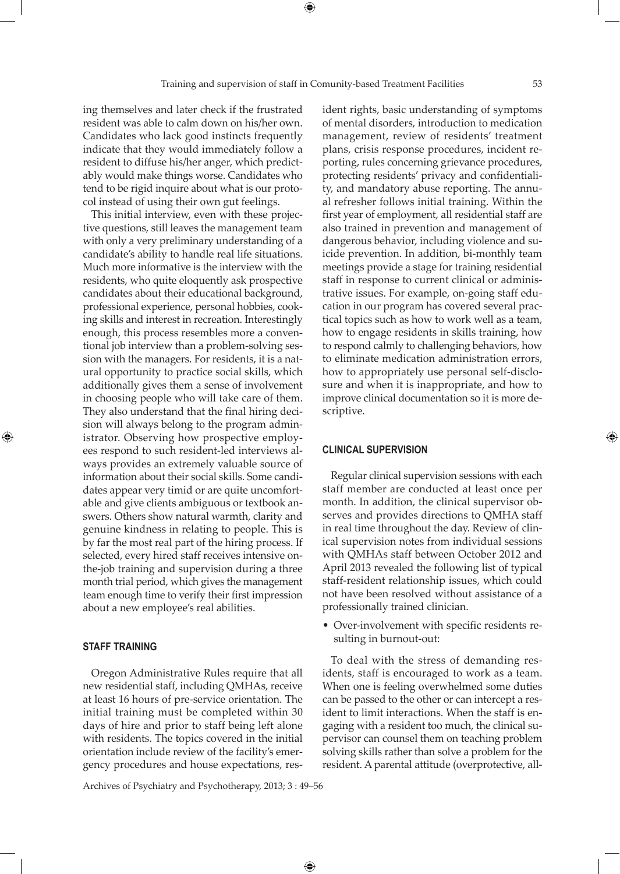ing themselves and later check if the frustrated resident was able to calm down on his/her own. Candidates who lack good instincts frequently indicate that they would immediately follow a resident to diffuse his/her anger, which predictably would make things worse. Candidates who tend to be rigid inquire about what is our protocol instead of using their own gut feelings.

This initial interview, even with these projective questions, still leaves the management team with only a very preliminary understanding of a candidate's ability to handle real life situations. Much more informative is the interview with the residents, who quite eloquently ask prospective candidates about their educational background, professional experience, personal hobbies, cooking skills and interest in recreation. Interestingly enough, this process resembles more a conventional job interview than a problem-solving session with the managers. For residents, it is a natural opportunity to practice social skills, which additionally gives them a sense of involvement in choosing people who will take care of them. They also understand that the final hiring decision will always belong to the program administrator. Observing how prospective employees respond to such resident-led interviews always provides an extremely valuable source of information about their social skills. Some candidates appear very timid or are quite uncomfortable and give clients ambiguous or textbook answers. Others show natural warmth, clarity and genuine kindness in relating to people. This is by far the most real part of the hiring process. If selected, every hired staff receives intensive onthe-job training and supervision during a three month trial period, which gives the management team enough time to verify their first impression about a new employee's real abilities.

# **Staff Training**

⊕

Oregon Administrative Rules require that all new residential staff, including QMHAs, receive at least 16 hours of pre-service orientation. The initial training must be completed within 30 days of hire and prior to staff being left alone with residents. The topics covered in the initial orientation include review of the facility's emergency procedures and house expectations, resident rights, basic understanding of symptoms of mental disorders, introduction to medication management, review of residents' treatment plans, crisis response procedures, incident reporting, rules concerning grievance procedures, protecting residents' privacy and confidentiality, and mandatory abuse reporting. The annual refresher follows initial training. Within the first year of employment, all residential staff are also trained in prevention and management of dangerous behavior, including violence and suicide prevention. In addition, bi-monthly team meetings provide a stage for training residential staff in response to current clinical or administrative issues. For example, on-going staff education in our program has covered several practical topics such as how to work well as a team, how to engage residents in skills training, how to respond calmly to challenging behaviors, how to eliminate medication administration errors, how to appropriately use personal self-disclosure and when it is inappropriate, and how to improve clinical documentation so it is more descriptive.

## **Clinical Supervision**

Regular clinical supervision sessions with each staff member are conducted at least once per month. In addition, the clinical supervisor observes and provides directions to QMHA staff in real time throughout the day. Review of clinical supervision notes from individual sessions with QMHAs staff between October 2012 and April 2013 revealed the following list of typical staff-resident relationship issues, which could not have been resolved without assistance of a professionally trained clinician.

• Over-involvement with specific residents resulting in burnout-out:

To deal with the stress of demanding residents, staff is encouraged to work as a team. When one is feeling overwhelmed some duties can be passed to the other or can intercept a resident to limit interactions. When the staff is engaging with a resident too much, the clinical supervisor can counsel them on teaching problem solving skills rather than solve a problem for the resident. A parental attitude (overprotective, all-

Archives of Psychiatry and Psychotherapy, 2013; 3 : 49–56

 $\bigoplus$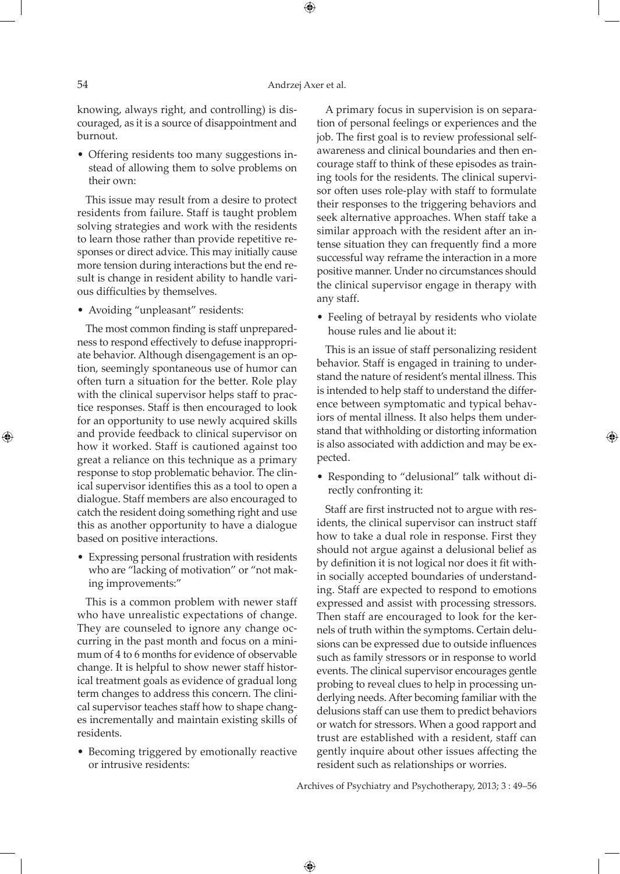knowing, always right, and controlling) is discouraged, as it is a source of disappointment and burnout.

• Offering residents too many suggestions instead of allowing them to solve problems on their own:

This issue may result from a desire to protect residents from failure. Staff is taught problem solving strategies and work with the residents to learn those rather than provide repetitive responses or direct advice. This may initially cause more tension during interactions but the end result is change in resident ability to handle various difficulties by themselves.

• Avoiding "unpleasant" residents:

The most common finding is staff unpreparedness to respond effectively to defuse inappropriate behavior. Although disengagement is an option, seemingly spontaneous use of humor can often turn a situation for the better. Role play with the clinical supervisor helps staff to practice responses. Staff is then encouraged to look for an opportunity to use newly acquired skills and provide feedback to clinical supervisor on how it worked. Staff is cautioned against too great a reliance on this technique as a primary response to stop problematic behavior. The clinical supervisor identifies this as a tool to open a dialogue. Staff members are also encouraged to catch the resident doing something right and use this as another opportunity to have a dialogue based on positive interactions.

• Expressing personal frustration with residents who are "lacking of motivation" or "not making improvements:"

This is a common problem with newer staff who have unrealistic expectations of change. They are counseled to ignore any change occurring in the past month and focus on a minimum of 4 to 6 months for evidence of observable change. It is helpful to show newer staff historical treatment goals as evidence of gradual long term changes to address this concern. The clinical supervisor teaches staff how to shape changes incrementally and maintain existing skills of residents.

• Becoming triggered by emotionally reactive or intrusive residents:

A primary focus in supervision is on separation of personal feelings or experiences and the job. The first goal is to review professional selfawareness and clinical boundaries and then encourage staff to think of these episodes as training tools for the residents. The clinical supervisor often uses role-play with staff to formulate their responses to the triggering behaviors and seek alternative approaches. When staff take a similar approach with the resident after an intense situation they can frequently find a more successful way reframe the interaction in a more positive manner. Under no circumstances should the clinical supervisor engage in therapy with any staff.

• Feeling of betrayal by residents who violate house rules and lie about it:

This is an issue of staff personalizing resident behavior. Staff is engaged in training to understand the nature of resident's mental illness. This is intended to help staff to understand the difference between symptomatic and typical behaviors of mental illness. It also helps them understand that withholding or distorting information is also associated with addiction and may be expected.

• Responding to "delusional" talk without directly confronting it:

Staff are first instructed not to argue with residents, the clinical supervisor can instruct staff how to take a dual role in response. First they should not argue against a delusional belief as by definition it is not logical nor does it fit within socially accepted boundaries of understanding. Staff are expected to respond to emotions expressed and assist with processing stressors. Then staff are encouraged to look for the kernels of truth within the symptoms. Certain delusions can be expressed due to outside influences such as family stressors or in response to world events. The clinical supervisor encourages gentle probing to reveal clues to help in processing underlying needs. After becoming familiar with the delusions staff can use them to predict behaviors or watch for stressors. When a good rapport and trust are established with a resident, staff can gently inquire about other issues affecting the resident such as relationships or worries.

Archives of Psychiatry and Psychotherapy, 2013; 3 : 49–56

 $\bigoplus$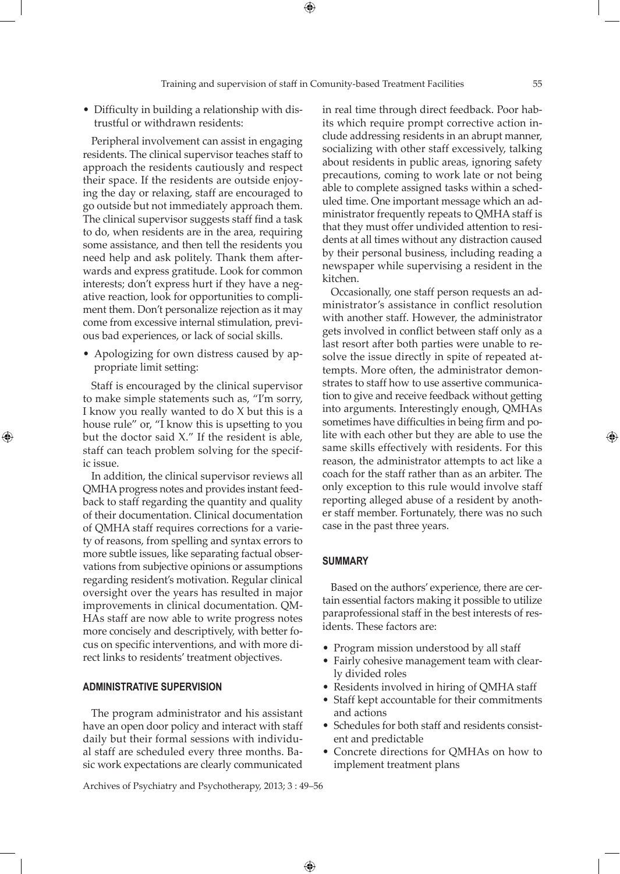• Difficulty in building a relationship with distrustful or withdrawn residents:

Peripheral involvement can assist in engaging residents. The clinical supervisor teaches staff to approach the residents cautiously and respect their space. If the residents are outside enjoying the day or relaxing, staff are encouraged to go outside but not immediately approach them. The clinical supervisor suggests staff find a task to do, when residents are in the area, requiring some assistance, and then tell the residents you need help and ask politely. Thank them afterwards and express gratitude. Look for common interests; don't express hurt if they have a negative reaction, look for opportunities to compliment them. Don't personalize rejection as it may come from excessive internal stimulation, previous bad experiences, or lack of social skills.

• Apologizing for own distress caused by appropriate limit setting:

Staff is encouraged by the clinical supervisor to make simple statements such as, "I'm sorry, I know you really wanted to do X but this is a house rule" or, "I know this is upsetting to you but the doctor said X." If the resident is able, staff can teach problem solving for the specific issue.

⊕

In addition, the clinical supervisor reviews all QMHA progress notes and provides instant feedback to staff regarding the quantity and quality of their documentation. Clinical documentation of QMHA staff requires corrections for a variety of reasons, from spelling and syntax errors to more subtle issues, like separating factual observations from subjective opinions or assumptions regarding resident's motivation. Regular clinical oversight over the years has resulted in major improvements in clinical documentation. QM-HAs staff are now able to write progress notes more concisely and descriptively, with better focus on specific interventions, and with more direct links to residents' treatment objectives.

#### **Administrative Supervision**

The program administrator and his assistant have an open door policy and interact with staff daily but their formal sessions with individual staff are scheduled every three months. Basic work expectations are clearly communicated

Archives of Psychiatry and Psychotherapy, 2013; 3 : 49–56

in real time through direct feedback. Poor habits which require prompt corrective action include addressing residents in an abrupt manner, socializing with other staff excessively, talking about residents in public areas, ignoring safety precautions, coming to work late or not being able to complete assigned tasks within a scheduled time. One important message which an administrator frequently repeats to QMHA staff is that they must offer undivided attention to residents at all times without any distraction caused by their personal business, including reading a newspaper while supervising a resident in the kitchen.

Occasionally, one staff person requests an administrator's assistance in conflict resolution with another staff. However, the administrator gets involved in conflict between staff only as a last resort after both parties were unable to resolve the issue directly in spite of repeated attempts. More often, the administrator demonstrates to staff how to use assertive communication to give and receive feedback without getting into arguments. Interestingly enough, QMHAs sometimes have difficulties in being firm and polite with each other but they are able to use the same skills effectively with residents. For this reason, the administrator attempts to act like a coach for the staff rather than as an arbiter. The only exception to this rule would involve staff reporting alleged abuse of a resident by another staff member. Fortunately, there was no such case in the past three years.

#### **Summary**

 $\bigoplus$ 

Based on the authors' experience, there are certain essential factors making it possible to utilize paraprofessional staff in the best interests of residents. These factors are:

- Program mission understood by all staff
- Fairly cohesive management team with clearly divided roles
- Residents involved in hiring of QMHA staff
- Staff kept accountable for their commitments and actions
- Schedules for both staff and residents consistent and predictable
- Concrete directions for QMHAs on how to implement treatment plans